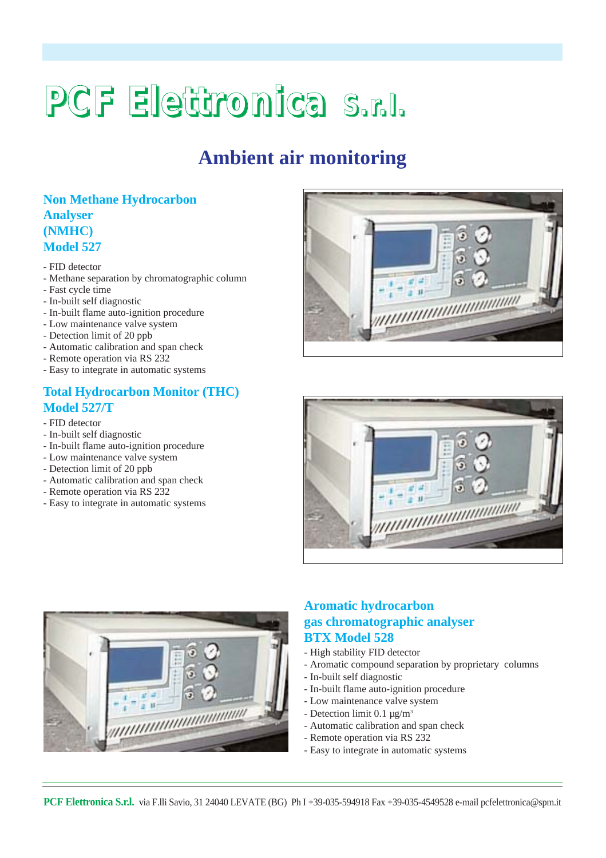# **PCF Elettronica S.r.l.**

# **Ambient air monitoring**

# **Non Methane Hydrocarbon Analyser (NMHC) Model 527**

- FID detector
- Methane separation by chromatographic column
- Fast cycle time
- In-built self diagnostic
- In-built flame auto-ignition procedure
- Low maintenance valve system
- Detection limit of 20 ppb
- Automatic calibration and span check
- Remote operation via RS 232
- Easy to integrate in automatic systems

# **Total Hydrocarbon Monitor (THC) Model 527/T**

- FID detector
- In-built self diagnostic
- In-built flame auto-ignition procedure
- Low maintenance valve system
- Detection limit of 20 ppb
- Automatic calibration and span check
- Remote operation via RS 232
- Easy to integrate in automatic systems







# **Aromatic hydrocarbon gas chromatographic analyser BTX Model 528**

- High stability FID detector
- Aromatic compound separation by proprietary columns
- In-built self diagnostic
- In-built flame auto-ignition procedure
- Low maintenance valve system
- Detection limit  $0.1 \mu g/m^3$
- Automatic calibration and span check
- Remote operation via RS 232
- Easy to integrate in automatic systems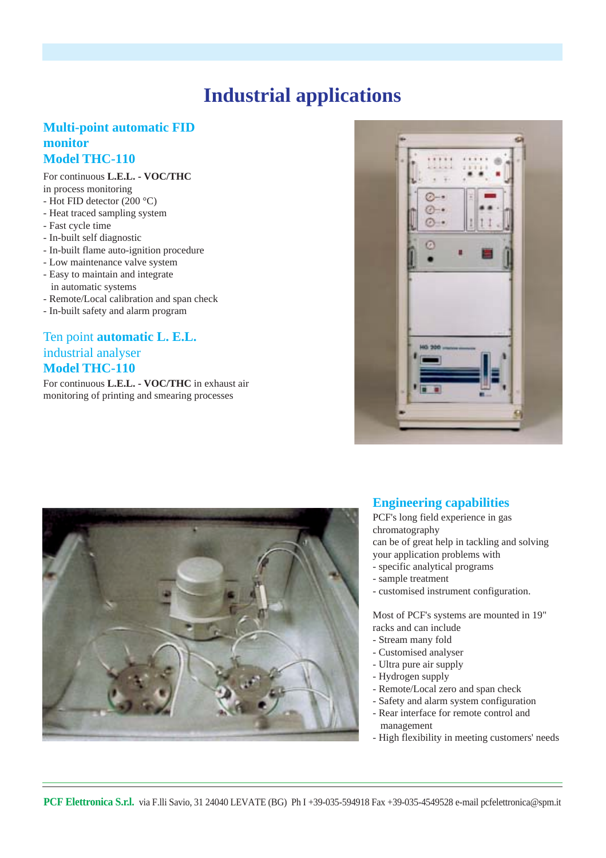# **Industrial applications**

### **Multi-point automatic FID monitor Model THC-110**

#### For continuous **L.E.L. - VOC/THC**

in process monitoring

- Hot FID detector (200 °C)
- Heat traced sampling system
- Fast cycle time
- In-built self diagnostic
- In-built flame auto-ignition procedure
- Low maintenance valve system
- Easy to maintain and integrate in automatic systems
- Remote/Local calibration and span check
- In-built safety and alarm program

# Ten point **automatic L. E.L.** industrial analyser **Model THC-110**

For continuous **L.E.L. - VOC/THC** in exhaust air monitoring of printing and smearing processes





### **Engineering capabilities**

PCF's long field experience in gas chromatography

can be of great help in tackling and solving

- your application problems with
- specific analytical programs
- sample treatment
- customised instrument configuration.

Most of PCF's systems are mounted in 19" racks and can include

- Stream many fold
- Customised analyser
- Ultra pure air supply
- Hydrogen supply
- Remote/Local zero and span check
- Safety and alarm system configuration
- Rear interface for remote control and management
- High flexibility in meeting customers' needs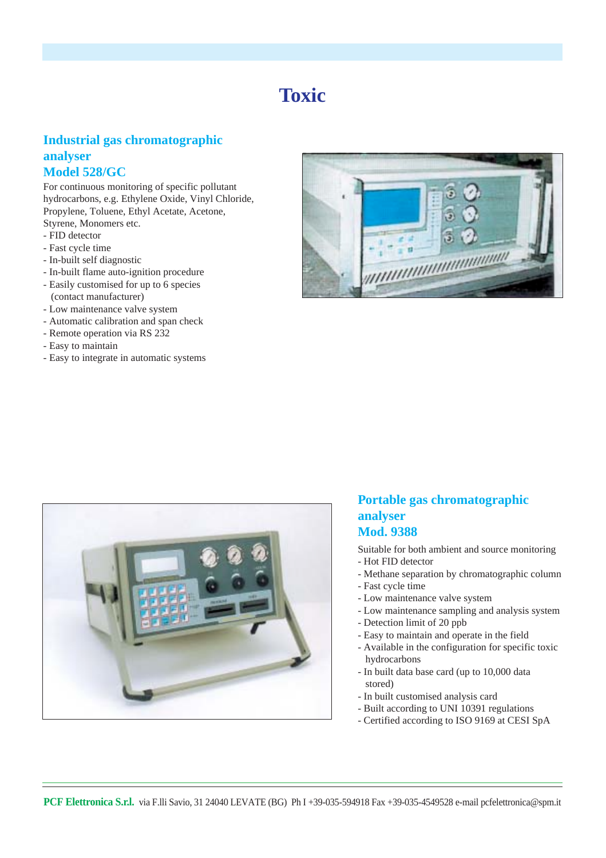# **Toxic**

# **Industrial gas chromatographic analyser Model 528/GC**

For continuous monitoring of specific pollutant hydrocarbons, e.g. Ethylene Oxide, Vinyl Chloride, Propylene, Toluene, Ethyl Acetate, Acetone, Styrene, Monomers etc.

- FID detector
- Fast cycle time
- In-built self diagnostic
- In-built flame auto-ignition procedure
- Easily customised for up to 6 species (contact manufacturer)
- Low maintenance valve system
- Automatic calibration and span check
- Remote operation via RS 232
- Easy to maintain
- Easy to integrate in automatic systems





### **Portable gas chromatographic analyser Mod. 9388**

Suitable for both ambient and source monitoring

- Hot FID detector
- Methane separation by chromatographic column
- Fast cycle time
- Low maintenance valve system
- Low maintenance sampling and analysis system
- Detection limit of 20 ppb
- Easy to maintain and operate in the field
- Available in the configuration for specific toxic hydrocarbons
- In built data base card (up to 10,000 data stored)
- In built customised analysis card
- Built according to UNI 10391 regulations
- Certified according to ISO 9169 at CESI SpA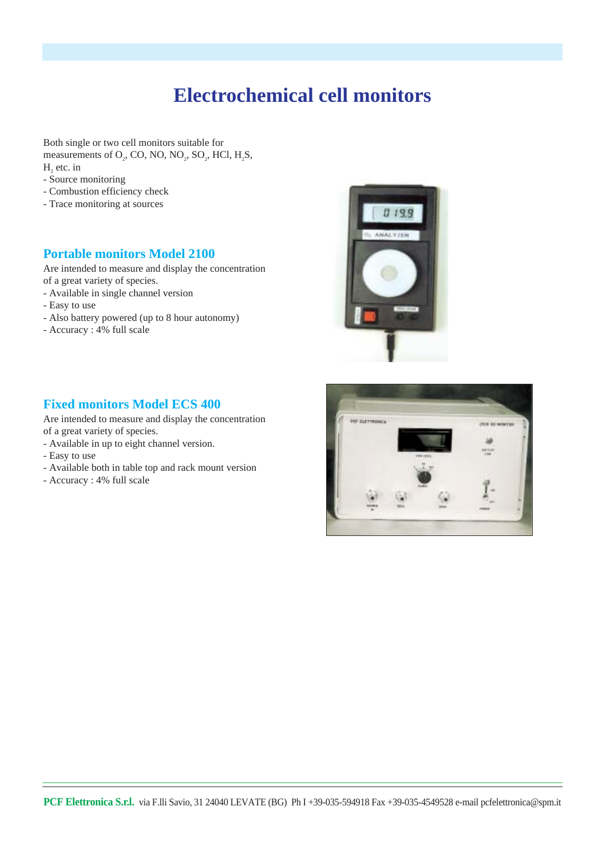# **Electrochemical cell monitors**

Both single or two cell monitors suitable for measurements of  $O_2$ , CO, NO, NO<sub>2</sub>, SO<sub>2</sub>, HCl, H<sub>2</sub>S, H, etc. in

- Source monitoring
- Combustion efficiency check
- Trace monitoring at sources

#### **Portable monitors Model 2100**

Are intended to measure and display the concentration of a great variety of species.

- Available in single channel version
- Easy to use
- Also battery powered (up to 8 hour autonomy)
- Accuracy : 4% full scale

### **Fixed monitors Model ECS 400**

Are intended to measure and display the concentration of a great variety of species.

- Available in up to eight channel version.
- Easy to use
- Available both in table top and rack mount version
- Accuracy : 4% full scale



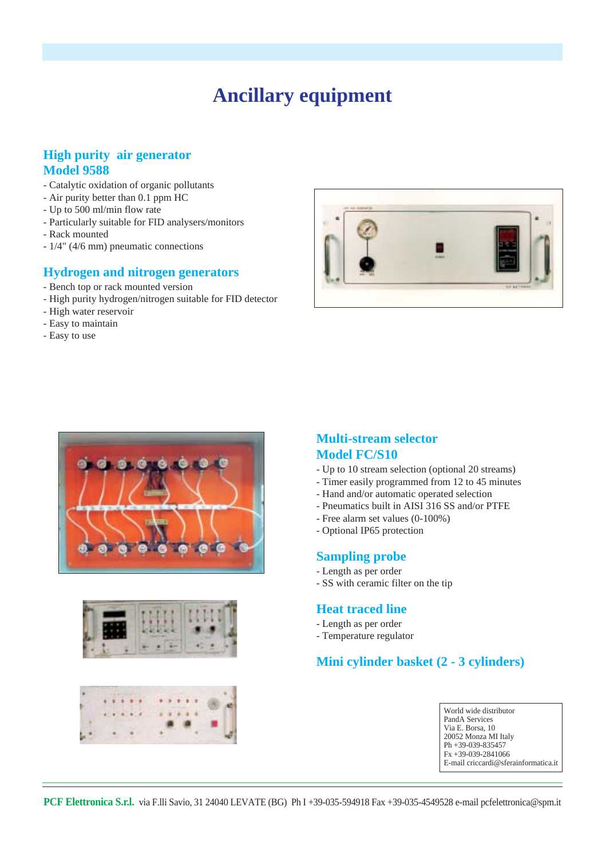# **Ancillary equipment**

### **High purity air generator Model 9588**

- Catalytic oxidation of organic pollutants
- Air purity better than 0.1 ppm HC
- Up to 500 ml/min flow rate
- Particularly suitable for FID analysers/monitors
- Rack mounted
- 1/4" (4/6 mm) pneumatic connections

#### **Hydrogen and nitrogen generators**

- Bench top or rack mounted version
- High purity hydrogen/nitrogen suitable for FID detector
- High water reservoir
- Easy to maintain
- Easy to use









#### **Multi-stream selector Model FC/S10**

- Up to 10 stream selection (optional 20 streams)
- Timer easily programmed from 12 to 45 minutes
- Hand and/or automatic operated selection
- Pneumatics built in AISI 316 SS and/or PTFE
- Free alarm set values (0-100%)
- Optional IP65 protection

#### **Sampling probe**

- Length as per order
- SS with ceramic filter on the tip

#### **Heat traced line**

- Length as per order
- Temperature regulator

### **Mini cylinder basket (2 - 3 cylinders)**

| World wide distributor               |
|--------------------------------------|
| PandA Services                       |
| Via E. Borsa, 10                     |
| 20052 Monza MI Italy                 |
| $\vert$ Ph +39-039-835457            |
| $F_{X}$ +39-039-2841066              |
| E-mail criccardi@sferainformatica.it |